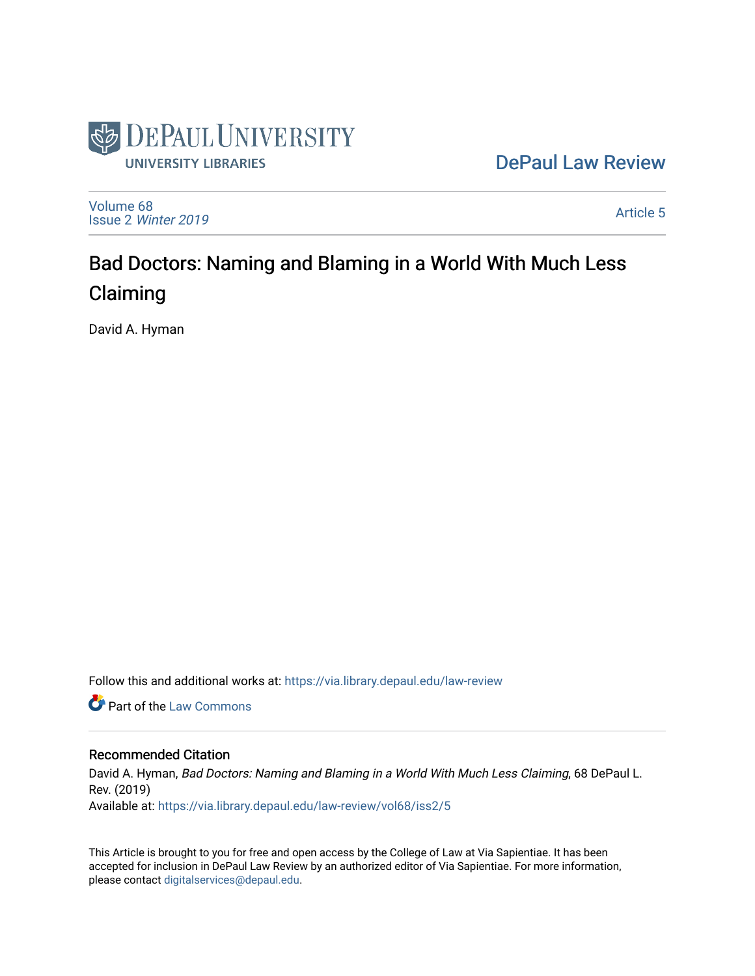

[DePaul Law Review](https://via.library.depaul.edu/law-review) 

[Volume 68](https://via.library.depaul.edu/law-review/vol68) Issue 2 [Winter 2019](https://via.library.depaul.edu/law-review/vol68/iss2) 

[Article 5](https://via.library.depaul.edu/law-review/vol68/iss2/5) 

# Bad Doctors: Naming and Blaming in a World With Much Less Claiming

David A. Hyman

Follow this and additional works at: [https://via.library.depaul.edu/law-review](https://via.library.depaul.edu/law-review?utm_source=via.library.depaul.edu%2Flaw-review%2Fvol68%2Fiss2%2F5&utm_medium=PDF&utm_campaign=PDFCoverPages) 

**C** Part of the [Law Commons](http://network.bepress.com/hgg/discipline/578?utm_source=via.library.depaul.edu%2Flaw-review%2Fvol68%2Fiss2%2F5&utm_medium=PDF&utm_campaign=PDFCoverPages)

# Recommended Citation

David A. Hyman, Bad Doctors: Naming and Blaming in a World With Much Less Claiming, 68 DePaul L. Rev. (2019) Available at: [https://via.library.depaul.edu/law-review/vol68/iss2/5](https://via.library.depaul.edu/law-review/vol68/iss2/5?utm_source=via.library.depaul.edu%2Flaw-review%2Fvol68%2Fiss2%2F5&utm_medium=PDF&utm_campaign=PDFCoverPages) 

This Article is brought to you for free and open access by the College of Law at Via Sapientiae. It has been accepted for inclusion in DePaul Law Review by an authorized editor of Via Sapientiae. For more information, please contact [digitalservices@depaul.edu.](mailto:digitalservices@depaul.edu)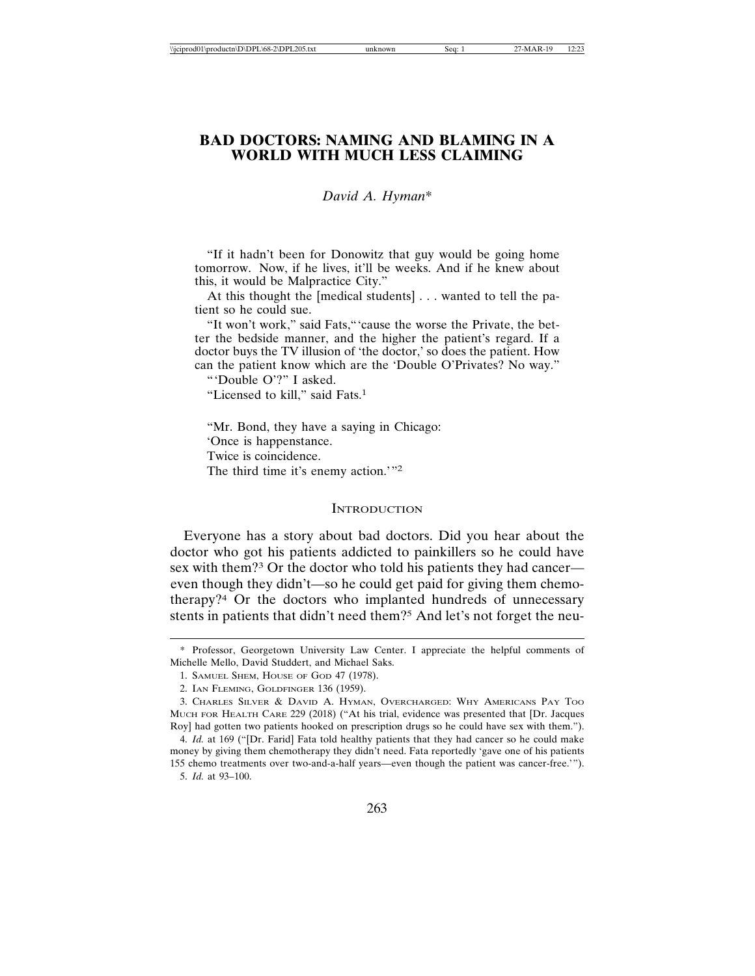# **BAD DOCTORS: NAMING AND BLAMING IN A WORLD WITH MUCH LESS CLAIMING**

#### *David A. Hyman*\*

"If it hadn't been for Donowitz that guy would be going home tomorrow. Now, if he lives, it'll be weeks. And if he knew about this, it would be Malpractice City."

At this thought the [medical students] . . . wanted to tell the patient so he could sue.

"It won't work," said Fats,"'cause the worse the Private, the better the bedside manner, and the higher the patient's regard. If a doctor buys the TV illusion of 'the doctor,' so does the patient. How can the patient know which are the 'Double O'Privates? No way."

"'Double O'?" I asked.

"Licensed to kill," said Fats.<sup>1</sup>

"Mr. Bond, they have a saying in Chicago: 'Once is happenstance. Twice is coincidence. The third time it's enemy action.'"<sup>2</sup>

#### **INTRODUCTION**

Everyone has a story about bad doctors. Did you hear about the doctor who got his patients addicted to painkillers so he could have sex with them?3 Or the doctor who told his patients they had cancer even though they didn't—so he could get paid for giving them chemotherapy?4 Or the doctors who implanted hundreds of unnecessary stents in patients that didn't need them?<sup>5</sup> And let's not forget the neu-

5. *Id.* at 93–100.

<sup>\*</sup> Professor, Georgetown University Law Center. I appreciate the helpful comments of Michelle Mello, David Studdert, and Michael Saks.

<sup>1.</sup> SAMUEL SHEM, HOUSE OF GOD 47 (1978).

<sup>2.</sup> IAN FLEMING, GOLDFINGER 136 (1959).

<sup>3.</sup> CHARLES SILVER & DAVID A. HYMAN, OVERCHARGED: WHY AMERICANS PAY TOO MUCH FOR HEALTH CARE 229 (2018) ("At his trial, evidence was presented that [Dr. Jacques Roy] had gotten two patients hooked on prescription drugs so he could have sex with them.").

<sup>4.</sup> *Id.* at 169 ("[Dr. Farid] Fata told healthy patients that they had cancer so he could make money by giving them chemotherapy they didn't need. Fata reportedly 'gave one of his patients 155 chemo treatments over two-and-a-half years—even though the patient was cancer-free.'").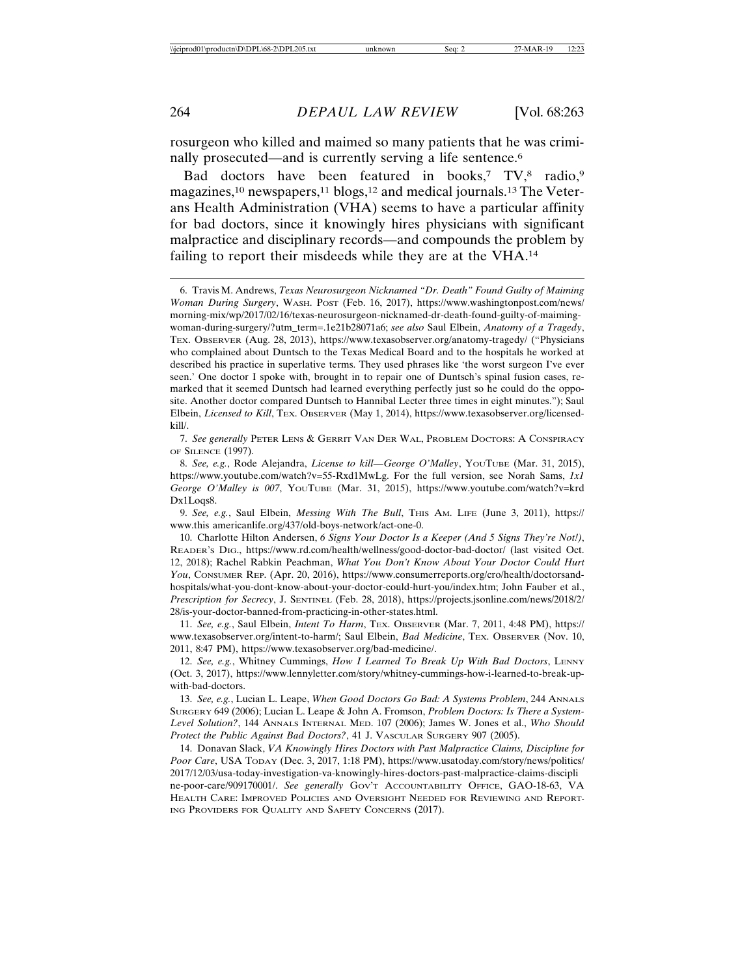rosurgeon who killed and maimed so many patients that he was criminally prosecuted—and is currently serving a life sentence.<sup>6</sup>

Bad doctors have been featured in books,<sup>7</sup> TV, $\frac{8}{3}$  radio, $\frac{9}{3}$ magazines,<sup>10</sup> newspapers,<sup>11</sup> blogs,<sup>12</sup> and medical journals.<sup>13</sup> The Veterans Health Administration (VHA) seems to have a particular affinity for bad doctors, since it knowingly hires physicians with significant malpractice and disciplinary records—and compounds the problem by failing to report their misdeeds while they are at the VHA.<sup>14</sup>

7. *See generally* PETER LENS & GERRIT VAN DER WAL, PROBLEM DOCTORS: A CONSPIRACY OF SILENCE (1997).

8. *See, e.g.*, Rode Alejandra, *License to kill—George O'Malley*, YOUTUBE (Mar. 31, 2015), https://www.youtube.com/watch?v=55-Rxd1MwLg. For the full version, see Norah Sams, *1x1 George O'Malley is 007*, YOUTUBE (Mar. 31, 2015), https://www.youtube.com/watch?v=krd Dx1Loqs8.

9. *See, e.g.*, Saul Elbein, *Messing With The Bull*, THIS AM. LIFE (June 3, 2011), https:// www.this americanlife.org/437/old-boys-network/act-one-0.

10. Charlotte Hilton Andersen, *6 Signs Your Doctor Is a Keeper (And 5 Signs They're Not!)*, READER'S DIG., https://www.rd.com/health/wellness/good-doctor-bad-doctor/ (last visited Oct. 12, 2018); Rachel Rabkin Peachman, *What You Don't Know About Your Doctor Could Hurt You*, CONSUMER REP. (Apr. 20, 2016), https://www.consumerreports.org/cro/health/doctorsandhospitals/what-you-dont-know-about-your-doctor-could-hurt-you/index.htm; John Fauber et al., *Prescription for Secrecy*, J. SENTINEL (Feb. 28, 2018), https://projects.jsonline.com/news/2018/2/ 28/is-your-doctor-banned-from-practicing-in-other-states.html.

11. *See, e.g.*, Saul Elbein, *Intent To Harm*, TEX. OBSERVER (Mar. 7, 2011, 4:48 PM), https:// www.texasobserver.org/intent-to-harm/; Saul Elbein, *Bad Medicine*, TEX. OBSERVER (Nov. 10, 2011, 8:47 PM), https://www.texasobserver.org/bad-medicine/.

12. *See, e.g.*, Whitney Cummings, *How I Learned To Break Up With Bad Doctors*, LENNY (Oct. 3, 2017), https://www.lennyletter.com/story/whitney-cummings-how-i-learned-to-break-upwith-bad-doctors.

13. *See, e.g.*, Lucian L. Leape, *When Good Doctors Go Bad: A Systems Problem*, 244 ANNALS SURGERY 649 (2006); Lucian L. Leape & John A. Fromson, *Problem Doctors: Is There a System-Level Solution?*, 144 ANNALS INTERNAL MED. 107 (2006); James W. Jones et al., *Who Should Protect the Public Against Bad Doctors?*, 41 J. VASCULAR SURGERY 907 (2005).

14. Donavan Slack, *VA Knowingly Hires Doctors with Past Malpractice Claims, Discipline for Poor Care*, USA TODAY (Dec. 3, 2017, 1:18 PM), https://www.usatoday.com/story/news/politics/ 2017/12/03/usa-today-investigation-va-knowingly-hires-doctors-past-malpractice-claims-discipli ne-poor-care/909170001/. *See generally* GOV'T ACCOUNTABILITY OFFICE, GAO-18-63, VA HEALTH CARE: IMPROVED POLICIES AND OVERSIGHT NEEDED FOR REVIEWING AND REPORT-ING PROVIDERS FOR QUALITY AND SAFETY CONCERNS (2017).

<sup>6.</sup> Travis M. Andrews, *Texas Neurosurgeon Nicknamed "Dr. Death" Found Guilty of Maiming Woman During Surgery*, WASH. POST (Feb. 16, 2017), https://www.washingtonpost.com/news/ morning-mix/wp/2017/02/16/texas-neurosurgeon-nicknamed-dr-death-found-guilty-of-maimingwoman-during-surgery/?utm\_term=.1e21b28071a6; *see also* Saul Elbein, *Anatomy of a Tragedy*, TEX. OBSERVER (Aug. 28, 2013), https://www.texasobserver.org/anatomy-tragedy/ ("Physicians who complained about Duntsch to the Texas Medical Board and to the hospitals he worked at described his practice in superlative terms. They used phrases like 'the worst surgeon I've ever seen.' One doctor I spoke with, brought in to repair one of Duntsch's spinal fusion cases, remarked that it seemed Duntsch had learned everything perfectly just so he could do the opposite. Another doctor compared Duntsch to Hannibal Lecter three times in eight minutes."); Saul Elbein, *Licensed to Kill*, TEX. OBSERVER (May 1, 2014), https://www.texasobserver.org/licensedkill/.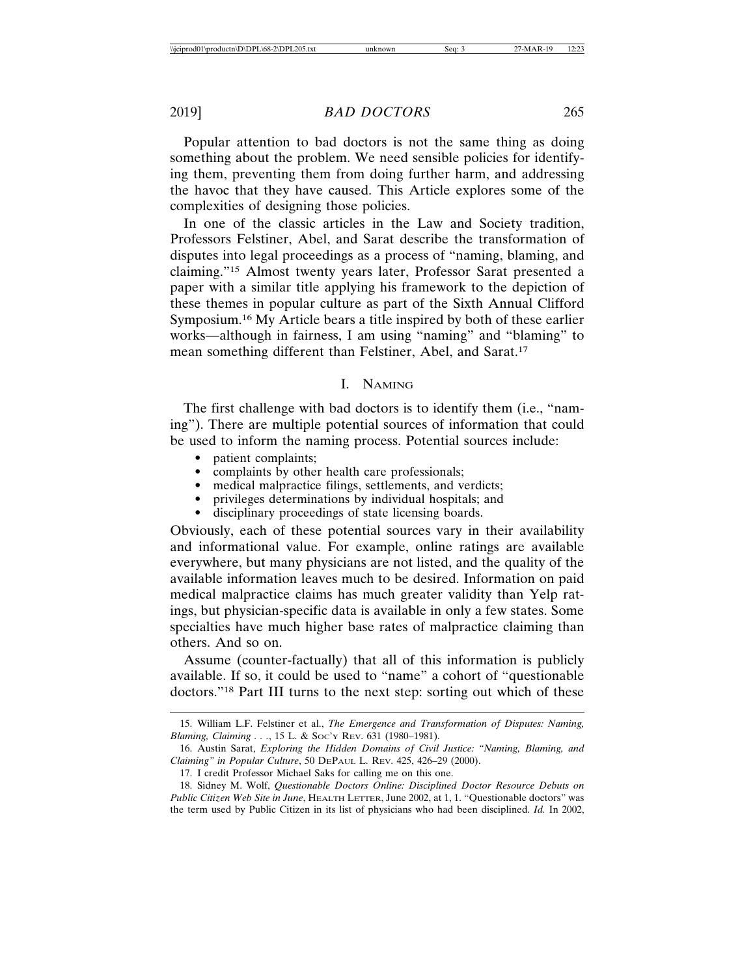Popular attention to bad doctors is not the same thing as doing something about the problem. We need sensible policies for identifying them, preventing them from doing further harm, and addressing the havoc that they have caused. This Article explores some of the complexities of designing those policies.

In one of the classic articles in the Law and Society tradition, Professors Felstiner, Abel, and Sarat describe the transformation of disputes into legal proceedings as a process of "naming, blaming, and claiming."15 Almost twenty years later, Professor Sarat presented a paper with a similar title applying his framework to the depiction of these themes in popular culture as part of the Sixth Annual Clifford Symposium.16 My Article bears a title inspired by both of these earlier works—although in fairness, I am using "naming" and "blaming" to mean something different than Felstiner, Abel, and Sarat.<sup>17</sup>

### I. NAMING

The first challenge with bad doctors is to identify them (i.e., "naming"). There are multiple potential sources of information that could be used to inform the naming process. Potential sources include:

- patient complaints;
- complaints by other health care professionals;
- medical malpractice filings, settlements, and verdicts;
- privileges determinations by individual hospitals; and
- disciplinary proceedings of state licensing boards.

Obviously, each of these potential sources vary in their availability and informational value. For example, online ratings are available everywhere, but many physicians are not listed, and the quality of the available information leaves much to be desired. Information on paid medical malpractice claims has much greater validity than Yelp ratings, but physician-specific data is available in only a few states. Some specialties have much higher base rates of malpractice claiming than others. And so on.

Assume (counter-factually) that all of this information is publicly available. If so, it could be used to "name" a cohort of "questionable doctors."18 Part III turns to the next step: sorting out which of these

<sup>15.</sup> William L.F. Felstiner et al., *The Emergence and Transformation of Disputes: Naming, Blaming, Claiming . . .*, 15 L. & SOC'Y REV. 631 (1980–1981).

<sup>16.</sup> Austin Sarat, *Exploring the Hidden Domains of Civil Justice: "Naming, Blaming, and Claiming" in Popular Culture*, 50 DEPAUL L. REV. 425, 426–29 (2000).

<sup>17.</sup> I credit Professor Michael Saks for calling me on this one.

<sup>18.</sup> Sidney M. Wolf, *Questionable Doctors Online: Disciplined Doctor Resource Debuts on Public Citizen Web Site in June*, HEALTH LETTER, June 2002, at 1, 1. "Questionable doctors" was the term used by Public Citizen in its list of physicians who had been disciplined. *Id.* In 2002,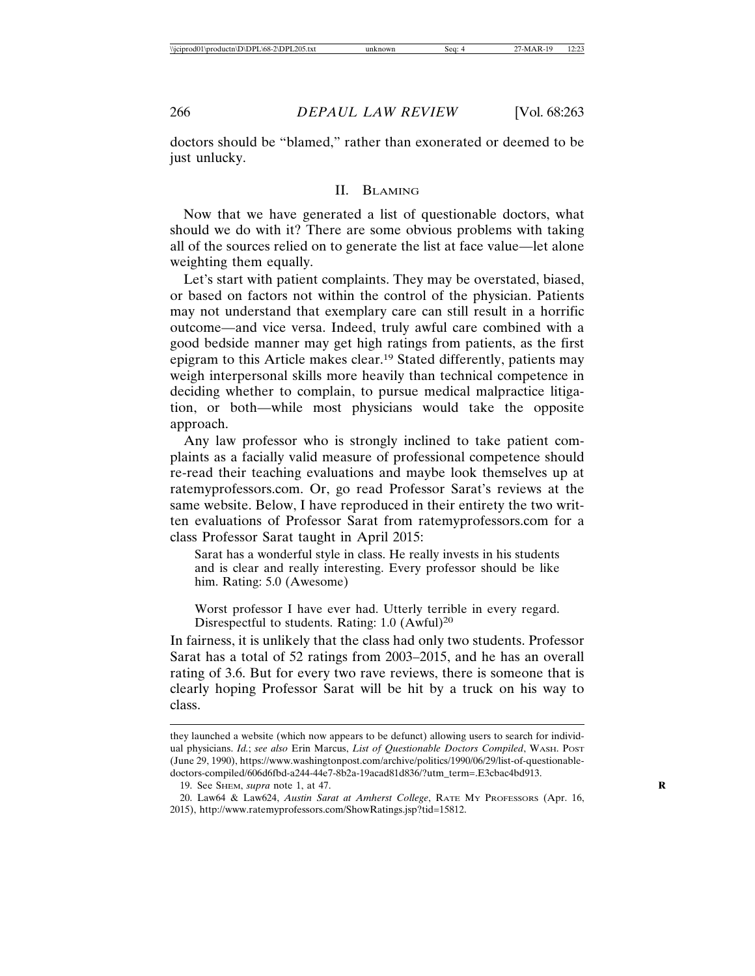doctors should be "blamed," rather than exonerated or deemed to be just unlucky.

#### II. BLAMING

Now that we have generated a list of questionable doctors, what should we do with it? There are some obvious problems with taking all of the sources relied on to generate the list at face value—let alone weighting them equally.

Let's start with patient complaints. They may be overstated, biased, or based on factors not within the control of the physician. Patients may not understand that exemplary care can still result in a horrific outcome—and vice versa. Indeed, truly awful care combined with a good bedside manner may get high ratings from patients, as the first epigram to this Article makes clear.19 Stated differently, patients may weigh interpersonal skills more heavily than technical competence in deciding whether to complain, to pursue medical malpractice litigation, or both—while most physicians would take the opposite approach.

Any law professor who is strongly inclined to take patient complaints as a facially valid measure of professional competence should re-read their teaching evaluations and maybe look themselves up at ratemyprofessors.com. Or, go read Professor Sarat's reviews at the same website. Below, I have reproduced in their entirety the two written evaluations of Professor Sarat from ratemyprofessors.com for a class Professor Sarat taught in April 2015:

Sarat has a wonderful style in class. He really invests in his students and is clear and really interesting. Every professor should be like him. Rating: 5.0 (Awesome)

Worst professor I have ever had. Utterly terrible in every regard. Disrespectful to students. Rating: 1.0 (Awful)<sup>20</sup>

In fairness, it is unlikely that the class had only two students. Professor Sarat has a total of 52 ratings from 2003–2015, and he has an overall rating of 3.6. But for every two rave reviews, there is someone that is clearly hoping Professor Sarat will be hit by a truck on his way to class.

they launched a website (which now appears to be defunct) allowing users to search for individual physicians. *Id.*; *see also* Erin Marcus, *List of Questionable Doctors Compiled*, WASH. POST (June 29, 1990), https://www.washingtonpost.com/archive/politics/1990/06/29/list-of-questionabledoctors-compiled/606d6fbd-a244-44e7-8b2a-19acad81d836/?utm\_term=.E3cbac4bd913.

<sup>19.</sup> See SHEM, *supra* note 1, at 47. **R**

<sup>20.</sup> Law64 & Law624, *Austin Sarat at Amherst College*, RATE MY PROFESSORS (Apr. 16, 2015), http://www.ratemyprofessors.com/ShowRatings.jsp?tid=15812.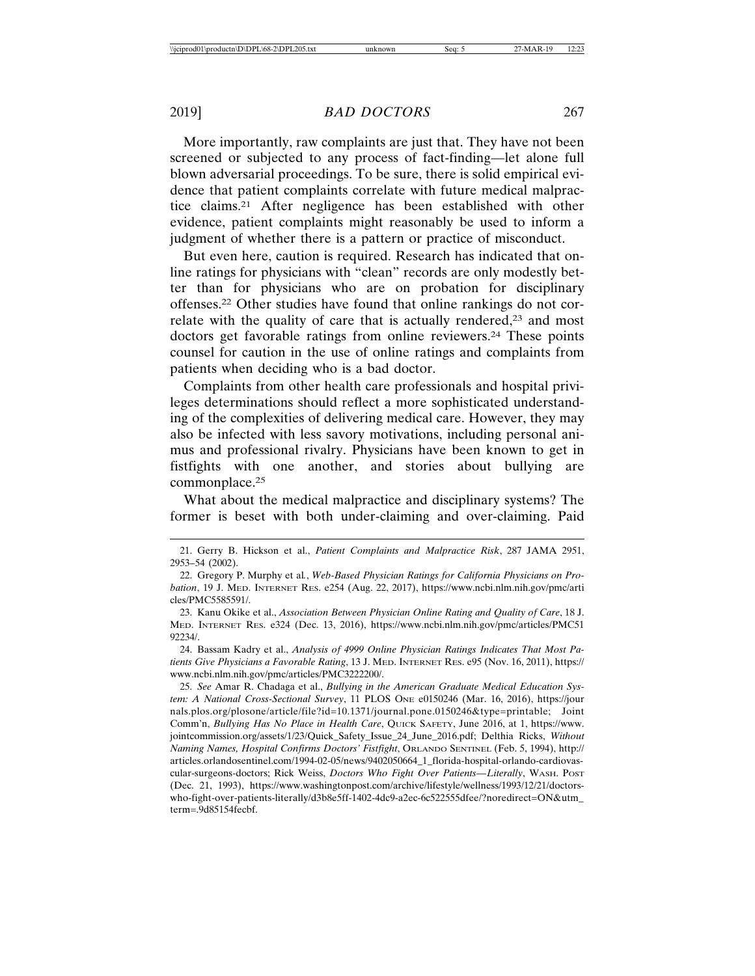More importantly, raw complaints are just that. They have not been screened or subjected to any process of fact-finding—let alone full blown adversarial proceedings. To be sure, there is solid empirical evidence that patient complaints correlate with future medical malpractice claims.21 After negligence has been established with other evidence, patient complaints might reasonably be used to inform a judgment of whether there is a pattern or practice of misconduct.

But even here, caution is required. Research has indicated that online ratings for physicians with "clean" records are only modestly better than for physicians who are on probation for disciplinary offenses.22 Other studies have found that online rankings do not correlate with the quality of care that is actually rendered,<sup>23</sup> and most doctors get favorable ratings from online reviewers.<sup>24</sup> These points counsel for caution in the use of online ratings and complaints from patients when deciding who is a bad doctor.

Complaints from other health care professionals and hospital privileges determinations should reflect a more sophisticated understanding of the complexities of delivering medical care. However, they may also be infected with less savory motivations, including personal animus and professional rivalry. Physicians have been known to get in fistfights with one another, and stories about bullying are commonplace.25

What about the medical malpractice and disciplinary systems? The former is beset with both under-claiming and over-claiming. Paid

<sup>21.</sup> Gerry B. Hickson et al., *Patient Complaints and Malpractice Risk*, 287 JAMA 2951, 2953–54 (2002).

<sup>22.</sup> Gregory P. Murphy et al*.*, *Web-Based Physician Ratings for California Physicians on Probation*, 19 J. MED. INTERNET RES. e254 (Aug. 22, 2017), https://www.ncbi.nlm.nih.gov/pmc/arti cles/PMC5585591/.

<sup>23.</sup> Kanu Okike et al., *Association Between Physician Online Rating and Quality of Care*, 18 J. MED. INTERNET RES. e324 (Dec. 13, 2016), https://www.ncbi.nlm.nih.gov/pmc/articles/PMC51 92234/.

<sup>24.</sup> Bassam Kadry et al., *Analysis of 4999 Online Physician Ratings Indicates That Most Patients Give Physicians a Favorable Rating*, 13 J. MED. INTERNET RES. e95 (Nov. 16, 2011), https:// www.ncbi.nlm.nih.gov/pmc/articles/PMC3222200/.

<sup>25.</sup> *See* Amar R. Chadaga et al., *Bullying in the American Graduate Medical Education System: A National Cross-Sectional Survey*, 11 PLOS ONE e0150246 (Mar. 16, 2016), https://jour nals.plos.org/plosone/article/file?id=10.1371/journal.pone.0150246&type=printable; Joint Comm'n, *Bullying Has No Place in Health Care*, QUICK SAFETY, June 2016, at 1, https://www. jointcommission.org/assets/1/23/Quick\_Safety\_Issue\_24\_June\_2016.pdf; Delthia Ricks, *Without Naming Names, Hospital Confirms Doctors' Fistfight*, ORLANDO SENTINEL (Feb. 5, 1994), http:// articles.orlandosentinel.com/1994-02-05/news/9402050664\_1\_florida-hospital-orlando-cardiovascular-surgeons-doctors; Rick Weiss, *Doctors Who Fight Over Patients—Literally*, WASH. POST (Dec. 21, 1993), https://www.washingtonpost.com/archive/lifestyle/wellness/1993/12/21/doctorswho-fight-over-patients-literally/d3b8e5ff-1402-4dc9-a2ec-6c522555dfee/?noredirect=ON&utm\_ term=.9d85154fecbf.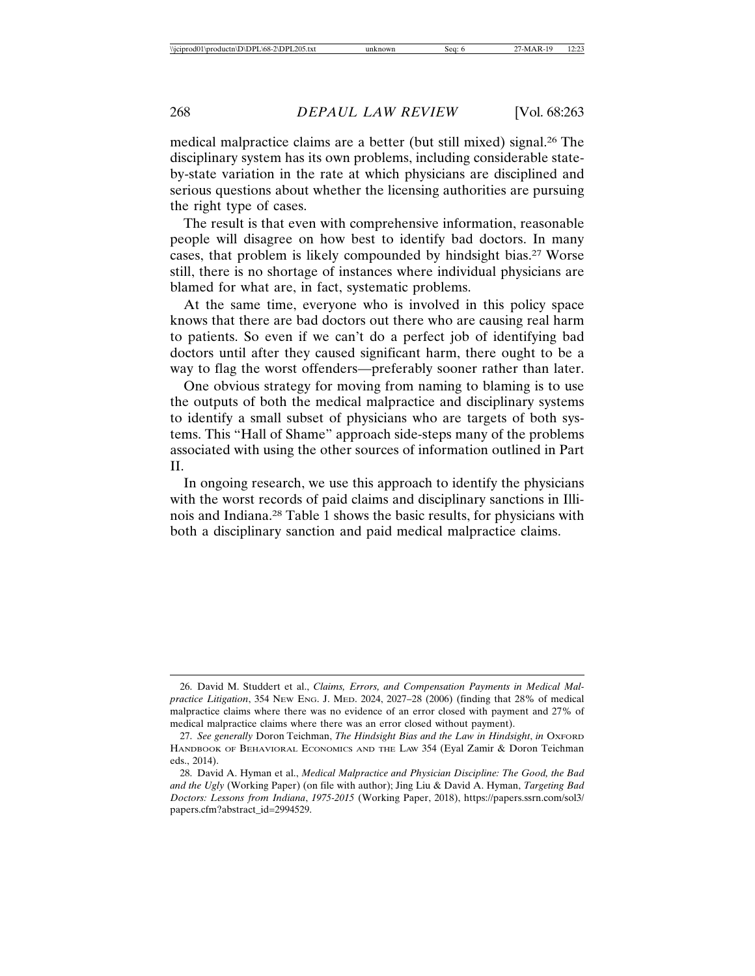medical malpractice claims are a better (but still mixed) signal.26 The disciplinary system has its own problems, including considerable stateby-state variation in the rate at which physicians are disciplined and serious questions about whether the licensing authorities are pursuing the right type of cases.

The result is that even with comprehensive information, reasonable people will disagree on how best to identify bad doctors. In many cases, that problem is likely compounded by hindsight bias.27 Worse still, there is no shortage of instances where individual physicians are blamed for what are, in fact, systematic problems.

At the same time, everyone who is involved in this policy space knows that there are bad doctors out there who are causing real harm to patients. So even if we can't do a perfect job of identifying bad doctors until after they caused significant harm, there ought to be a way to flag the worst offenders—preferably sooner rather than later.

One obvious strategy for moving from naming to blaming is to use the outputs of both the medical malpractice and disciplinary systems to identify a small subset of physicians who are targets of both systems. This "Hall of Shame" approach side-steps many of the problems associated with using the other sources of information outlined in Part II.

In ongoing research, we use this approach to identify the physicians with the worst records of paid claims and disciplinary sanctions in Illinois and Indiana.28 Table 1 shows the basic results, for physicians with both a disciplinary sanction and paid medical malpractice claims.

<sup>26.</sup> David M. Studdert et al., *Claims, Errors, and Compensation Payments in Medical Malpractice Litigation*, 354 NEW ENG. J. MED. 2024, 2027–28 (2006) (finding that 28% of medical malpractice claims where there was no evidence of an error closed with payment and 27% of medical malpractice claims where there was an error closed without payment).

<sup>27.</sup> *See generally* Doron Teichman, *The Hindsight Bias and the Law in Hindsight*, *in* OXFORD HANDBOOK OF BEHAVIORAL ECONOMICS AND THE LAW 354 (Eyal Zamir & Doron Teichman eds., 2014).

<sup>28.</sup> David A. Hyman et al., *Medical Malpractice and Physician Discipline: The Good, the Bad and the Ugly* (Working Paper) (on file with author); Jing Liu & David A. Hyman, *Targeting Bad Doctors: Lessons from Indiana*, *1975-2015* (Working Paper, 2018), https://papers.ssrn.com/sol3/ papers.cfm?abstract\_id=2994529.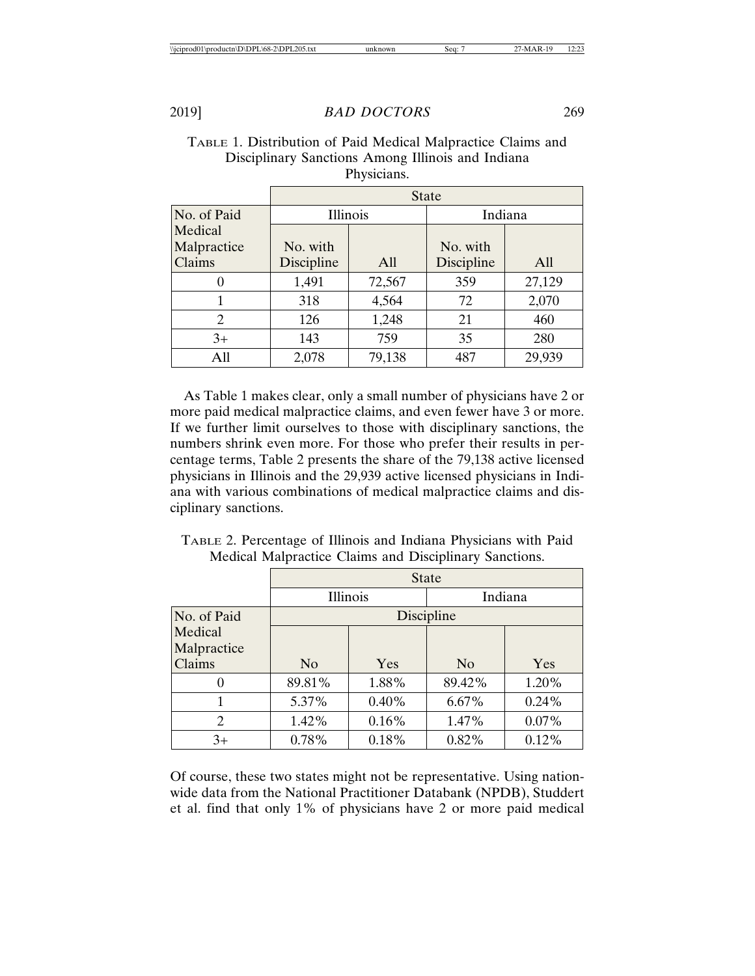| THY SIGNATIO. |              |        |            |        |  |  |  |
|---------------|--------------|--------|------------|--------|--|--|--|
|               | <b>State</b> |        |            |        |  |  |  |
| No. of Paid   | Illinois     |        | Indiana    |        |  |  |  |
| Medical       |              |        |            |        |  |  |  |
| Malpractice   | No. with     |        | No. with   |        |  |  |  |
| Claims        | Discipline   | All    | Discipline | All    |  |  |  |
|               | 1,491        | 72,567 | 359        | 27,129 |  |  |  |
|               | 318          | 4,564  | 72         | 2,070  |  |  |  |
| 2             | 126          | 1,248  | 21         | 460    |  |  |  |
| $3+$          | 143          | 759    | 35         | 280    |  |  |  |
| All           | 2,078        | 79,138 | 487        | 29,939 |  |  |  |

TABLE 1. Distribution of Paid Medical Malpractice Claims and Disciplinary Sanctions Among Illinois and Indiana Physicians.

As Table 1 makes clear, only a small number of physicians have 2 or more paid medical malpractice claims, and even fewer have 3 or more. If we further limit ourselves to those with disciplinary sanctions, the numbers shrink even more. For those who prefer their results in percentage terms, Table 2 presents the share of the 79,138 active licensed physicians in Illinois and the 29,939 active licensed physicians in Indiana with various combinations of medical malpractice claims and disciplinary sanctions.

TABLE 2. Percentage of Illinois and Indiana Physicians with Paid Medical Malpractice Claims and Disciplinary Sanctions.

|               | <b>State</b> |          |                |          |  |  |
|---------------|--------------|----------|----------------|----------|--|--|
|               | Illinois     |          | Indiana        |          |  |  |
| No. of Paid   | Discipline   |          |                |          |  |  |
| Medical       |              |          |                |          |  |  |
| Malpractice   |              |          |                |          |  |  |
| <b>Claims</b> | No           | Yes      | N <sub>0</sub> | Yes      |  |  |
| O             | 89.81%       | 1.88%    | 89.42%         | 1.20%    |  |  |
|               | 5.37%        | $0.40\%$ | 6.67%          | 0.24%    |  |  |
| 2             | 1.42%        | 0.16%    | 1.47%          | $0.07\%$ |  |  |
| $3+$          | 0.78%        | 0.18%    | 0.82%          | 0.12%    |  |  |

Of course, these two states might not be representative. Using nationwide data from the National Practitioner Databank (NPDB), Studdert et al. find that only 1% of physicians have 2 or more paid medical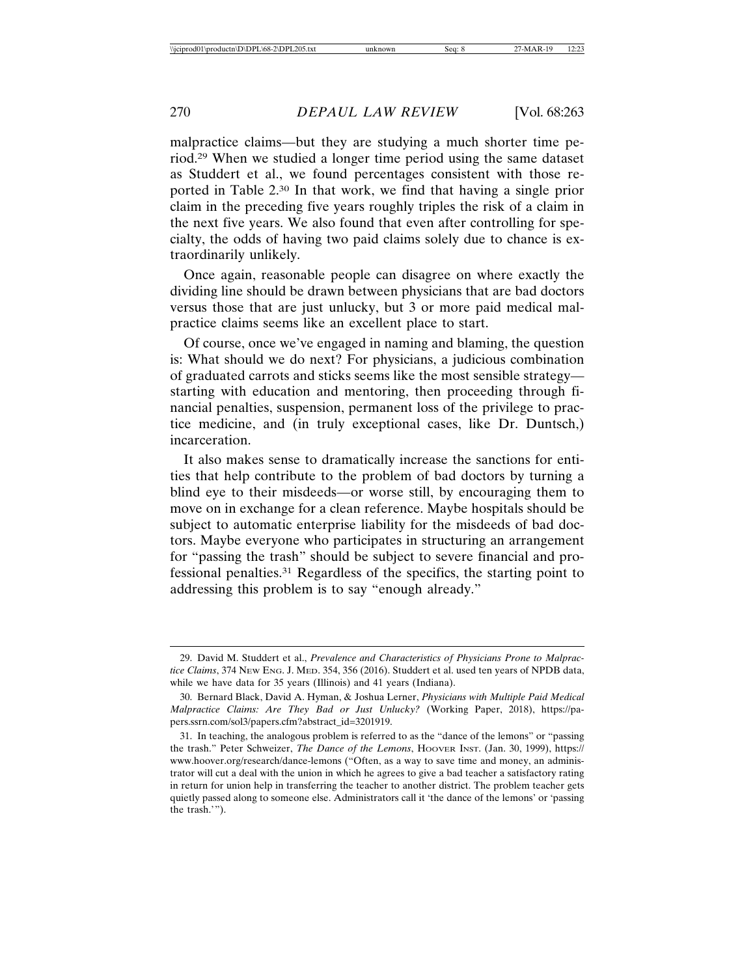malpractice claims—but they are studying a much shorter time period.29 When we studied a longer time period using the same dataset as Studdert et al., we found percentages consistent with those reported in Table 2.30 In that work, we find that having a single prior claim in the preceding five years roughly triples the risk of a claim in the next five years. We also found that even after controlling for specialty, the odds of having two paid claims solely due to chance is extraordinarily unlikely.

Once again, reasonable people can disagree on where exactly the dividing line should be drawn between physicians that are bad doctors versus those that are just unlucky, but 3 or more paid medical malpractice claims seems like an excellent place to start.

Of course, once we've engaged in naming and blaming, the question is: What should we do next? For physicians, a judicious combination of graduated carrots and sticks seems like the most sensible strategy starting with education and mentoring, then proceeding through financial penalties, suspension, permanent loss of the privilege to practice medicine, and (in truly exceptional cases, like Dr. Duntsch,) incarceration.

It also makes sense to dramatically increase the sanctions for entities that help contribute to the problem of bad doctors by turning a blind eye to their misdeeds—or worse still, by encouraging them to move on in exchange for a clean reference. Maybe hospitals should be subject to automatic enterprise liability for the misdeeds of bad doctors. Maybe everyone who participates in structuring an arrangement for "passing the trash" should be subject to severe financial and professional penalties.31 Regardless of the specifics, the starting point to addressing this problem is to say "enough already."

<sup>29.</sup> David M. Studdert et al., *Prevalence and Characteristics of Physicians Prone to Malpractice Claims*, 374 NEW ENG. J. MED. 354, 356 (2016). Studdert et al. used ten years of NPDB data, while we have data for 35 years (Illinois) and 41 years (Indiana).

<sup>30.</sup> Bernard Black, David A. Hyman, & Joshua Lerner, *Physicians with Multiple Paid Medical Malpractice Claims: Are They Bad or Just Unlucky?* (Working Paper, 2018), https://papers.ssrn.com/sol3/papers.cfm?abstract\_id=3201919.

<sup>31.</sup> In teaching, the analogous problem is referred to as the "dance of the lemons" or "passing the trash." Peter Schweizer, *The Dance of the Lemons*, HOOVER INST. (Jan. 30, 1999), https:// www.hoover.org/research/dance-lemons ("Often, as a way to save time and money, an administrator will cut a deal with the union in which he agrees to give a bad teacher a satisfactory rating in return for union help in transferring the teacher to another district. The problem teacher gets quietly passed along to someone else. Administrators call it 'the dance of the lemons' or 'passing the trash.'").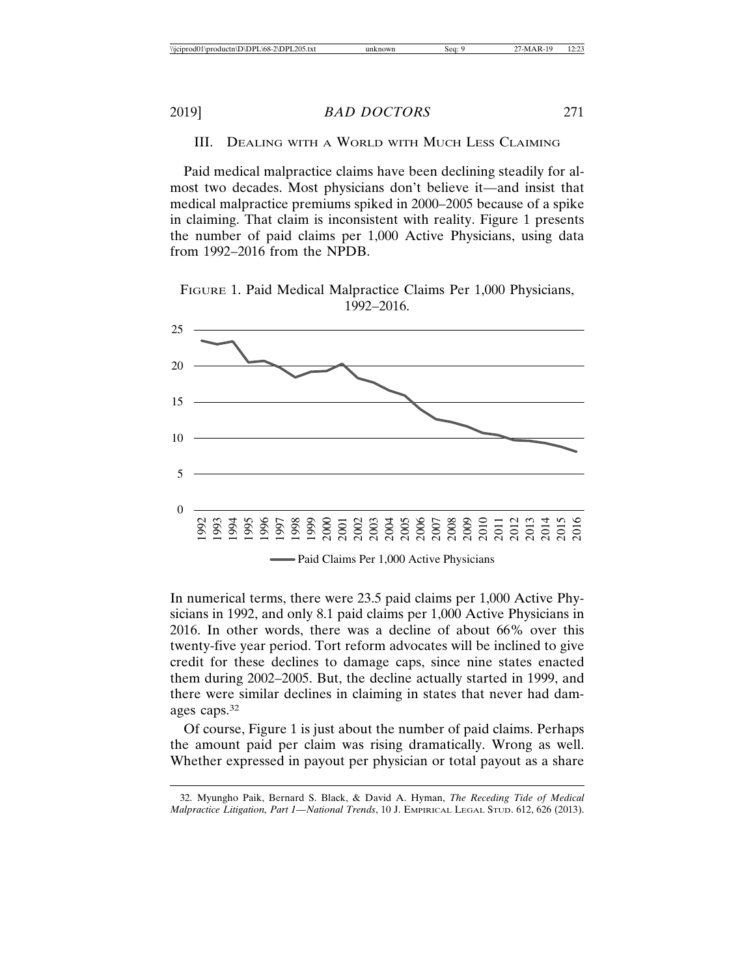## III. DEALING WITH A WORLD WITH MUCH LESS CLAIMING

Paid medical malpractice claims have been declining steadily for almost two decades. Most physicians don't believe it—and insist that medical malpractice premiums spiked in 2000–2005 because of a spike in claiming. That claim is inconsistent with reality. Figure 1 presents the number of paid claims per 1,000 Active Physicians, using data from 1992–2016 from the NPDB.

FIGURE 1. Paid Medical Malpractice Claims Per 1,000 Physicians, 1992–2016.



In numerical terms, there were 23.5 paid claims per 1,000 Active Physicians in 1992, and only 8.1 paid claims per 1,000 Active Physicians in 2016. In other words, there was a decline of about 66% over this twenty-five year period. Tort reform advocates will be inclined to give credit for these declines to damage caps, since nine states enacted them during 2002–2005. But, the decline actually started in 1999, and there were similar declines in claiming in states that never had damages caps.32

Of course, Figure 1 is just about the number of paid claims. Perhaps the amount paid per claim was rising dramatically. Wrong as well. Whether expressed in payout per physician or total payout as a share

<sup>32.</sup> Myungho Paik, Bernard S. Black, & David A. Hyman, *The Receding Tide of Medical Malpractice Litigation, Part 1—National Trends*, 10 J. EMPIRICAL LEGAL STUD. 612, 626 (2013).